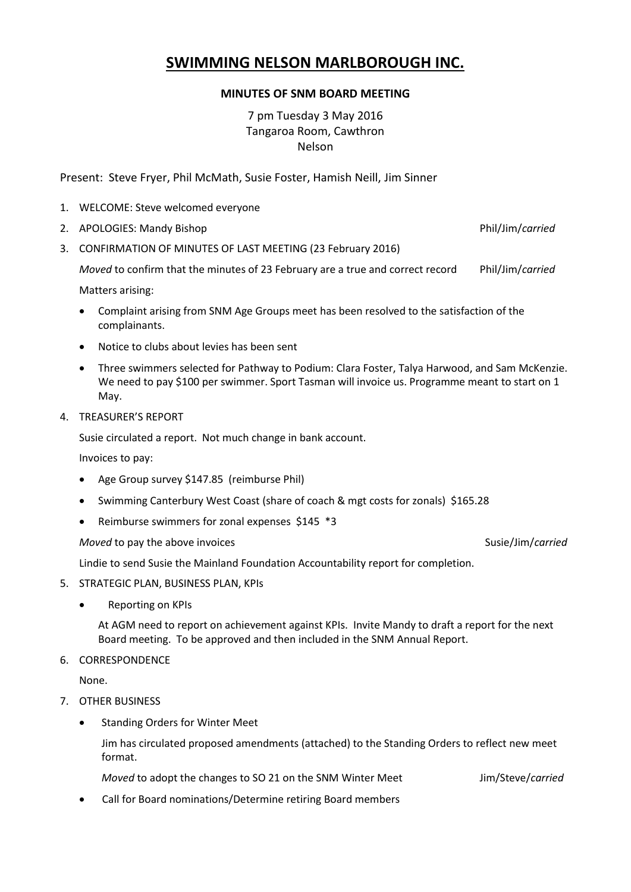# **SWIMMING NELSON MARLBOROUGH INC.**

## **MINUTES OF SNM BOARD MEETING**

7 pm Tuesday 3 May 2016 Tangaroa Room, Cawthron Nelson

Present: Steve Fryer, Phil McMath, Susie Foster, Hamish Neill, Jim Sinner

- 1. WELCOME: Steve welcomed everyone
- 2. APOLOGIES: Mandy Bishop Phil/Jim/*carried*
- 3. CONFIRMATION OF MINUTES OF LAST MEETING (23 February 2016)

*Moved* to confirm that the minutes of 23 February are a true and correct record Phil/Jim/*carried*

Matters arising:

- Complaint arising from SNM Age Groups meet has been resolved to the satisfaction of the complainants.
- Notice to clubs about levies has been sent
- Three swimmers selected for Pathway to Podium: Clara Foster, Talya Harwood, and Sam McKenzie. We need to pay \$100 per swimmer. Sport Tasman will invoice us. Programme meant to start on 1 May.
- 4. TREASURER'S REPORT

Susie circulated a report. Not much change in bank account.

Invoices to pay:

- Age Group survey \$147.85 (reimburse Phil)
- Swimming Canterbury West Coast (share of coach & mgt costs for zonals) \$165.28
- Reimburse swimmers for zonal expenses \$145 \*3

*Moved* to pay the above invoices  $\blacksquare$ 

Lindie to send Susie the Mainland Foundation Accountability report for completion.

- 5. STRATEGIC PLAN, BUSINESS PLAN, KPIs
	- Reporting on KPIs

At AGM need to report on achievement against KPIs. Invite Mandy to draft a report for the next Board meeting. To be approved and then included in the SNM Annual Report.

#### 6. CORRESPONDENCE

None.

- 7. OTHER BUSINESS
	- Standing Orders for Winter Meet

Jim has circulated proposed amendments (attached) to the Standing Orders to reflect new meet format.

*Moved* to adopt the changes to SO 21 on the SNM Winter Meet Jim/Steve/*carried*

Call for Board nominations/Determine retiring Board members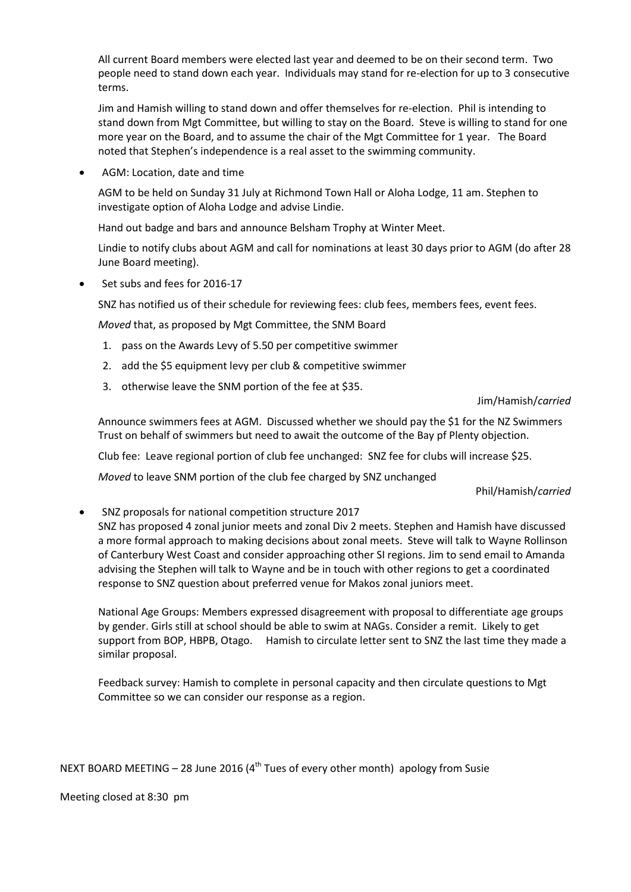All current Board members were elected last year and deemed to be on their second term. Two people need to stand down each year. Individuals may stand for re-election for up to 3 consecutive terms.

Jim and Hamish willing to stand down and offer themselves for re-election. Phil is intending to stand down from Mgt Committee, but willing to stay on the Board. Steve is willing to stand for one more year on the Board, and to assume the chair of the Mgt Committee for 1 year. The Board noted that Stephen's independence is a real asset to the swimming community.

AGM: Location, date and time

AGM to be held on Sunday 31 July at Richmond Town Hall or Aloha Lodge, 11 am. Stephen to investigate option of Aloha Lodge and advise Lindie.

Hand out badge and bars and announce Belsham Trophy at Winter Meet.

Lindie to notify clubs about AGM and call for nominations at least 30 days prior to AGM (do after 28 June Board meeting).

Set subs and fees for 2016-17

SNZ has notified us of their schedule for reviewing fees: club fees, members fees, event fees.

*Moved* that, as proposed by Mgt Committee, the SNM Board

- 1. pass on the Awards Levy of 5.50 per competitive swimmer
- 2. add the \$5 equipment levy per club & competitive swimmer
- 3. otherwise leave the SNM portion of the fee at \$35.

### Jim/Hamish/*carried*

Announce swimmers fees at AGM. Discussed whether we should pay the \$1 for the NZ Swimmers Trust on behalf of swimmers but need to await the outcome of the Bay pf Plenty objection.

Club fee: Leave regional portion of club fee unchanged: SNZ fee for clubs will increase \$25.

*Moved* to leave SNM portion of the club fee charged by SNZ unchanged

Phil/Hamish/*carried*

SNZ proposals for national competition structure 2017

SNZ has proposed 4 zonal junior meets and zonal Div 2 meets. Stephen and Hamish have discussed a more formal approach to making decisions about zonal meets. Steve will talk to Wayne Rollinson of Canterbury West Coast and consider approaching other SI regions. Jim to send email to Amanda advising the Stephen will talk to Wayne and be in touch with other regions to get a coordinated response to SNZ question about preferred venue for Makos zonal juniors meet.

National Age Groups: Members expressed disagreement with proposal to differentiate age groups by gender. Girls still at school should be able to swim at NAGs. Consider a remit. Likely to get support from BOP, HBPB, Otago. Hamish to circulate letter sent to SNZ the last time they made a similar proposal.

Feedback survey: Hamish to complete in personal capacity and then circulate questions to Mgt Committee so we can consider our response as a region.

NEXT BOARD MEETING – 28 June 2016 ( $4<sup>th</sup>$  Tues of every other month) apology from Susie

Meeting closed at 8:30 pm